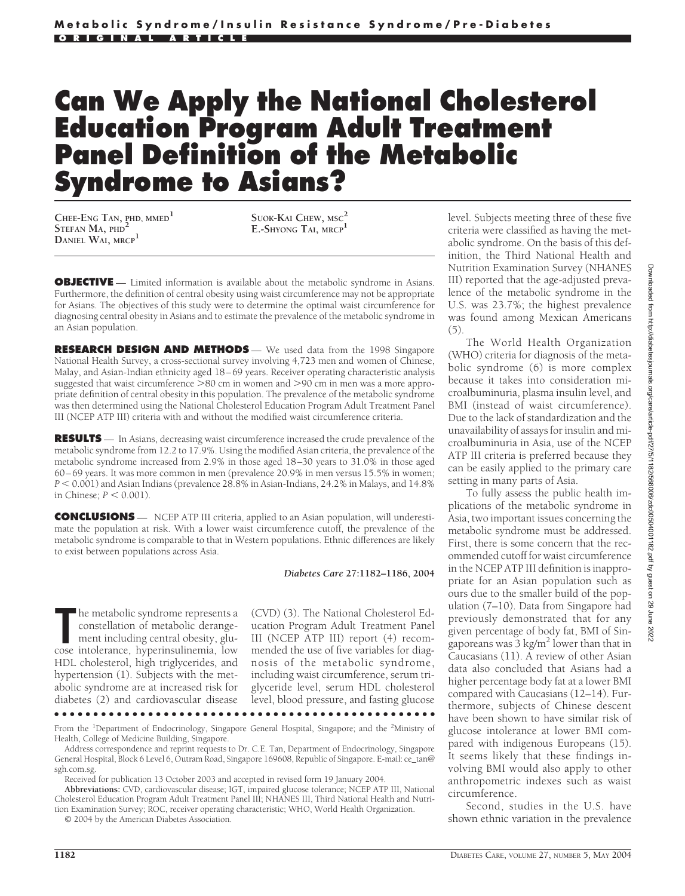# **Can We Apply the National Cholesterol Education Program Adult Treatment Panel Definition of the Metabolic Syndrome to Asians?**

**CHEE-ENG TAN, PHD, MMED<sup>1</sup> STEFAN MA, PHD<sup>2</sup> DANIEL WAI, MRCP<sup>1</sup>**

**SUOK-KAI CHEW, MSC<sup>2</sup> E.-SHYONG TAI, MRCP<sup>1</sup>**

**OBJECTIVE** — Limited information is available about the metabolic syndrome in Asians. Furthermore, the definition of central obesity using waist circumference may not be appropriate for Asians. The objectives of this study were to determine the optimal waist circumference for diagnosing central obesity in Asians and to estimate the prevalence of the metabolic syndrome in an Asian population.

**RESEARCH DESIGN AND METHODS** — We used data from the 1998 Singapore National Health Survey, a cross-sectional survey involving 4,723 men and women of Chinese, Malay, and Asian-Indian ethnicity aged 18–69 years. Receiver operating characteristic analysis suggested that waist circumference  $>80$  cm in women and  $>90$  cm in men was a more appropriate definition of central obesity in this population. The prevalence of the metabolic syndrome was then determined using the National Cholesterol Education Program Adult Treatment Panel III (NCEP ATP III) criteria with and without the modified waist circumference criteria.

**RESULTS** — In Asians, decreasing waist circumference increased the crude prevalence of the metabolic syndrome from 12.2 to 17.9%. Using the modified Asian criteria, the prevalence of the metabolic syndrome increased from 2.9% in those aged 18–30 years to 31.0% in those aged 60–69 years. It was more common in men (prevalence 20.9% in men versus 15.5% in women;  $P < 0.001$ ) and Asian Indians (prevalence  $28.8\%$  in Asian-Indians,  $24.2\%$  in Malays, and  $14.8\%$ in Chinese;  $P < 0.001$ ).

**CONCLUSIONS** — NCEP ATP III criteria, applied to an Asian population, will underestimate the population at risk. With a lower waist circumference cutoff, the prevalence of the metabolic syndrome is comparable to that in Western populations. Ethnic differences are likely to exist between populations across Asia.

*Diabetes Care* **27:1182–1186, 2004**

**The metabolic syndrome represents a**<br>
constellation of metabolic derange-<br>
ment including central obesity, glu-<br>
cose intolerance, hyperinsulinemia, low he metabolic syndrome represents a constellation of metabolic derangement including central obesity, glu-HDL cholesterol, high triglycerides, and hypertension (1). Subjects with the metabolic syndrome are at increased risk for diabetes (2) and cardiovascular disease (CVD) (3). The National Cholesterol Education Program Adult Treatment Panel III (NCEP ATP III) report (4) recommended the use of five variables for diagnosis of the metabolic syndrome, including waist circumference, serum triglyceride level, serum HDL cholesterol level, blood pressure, and fasting glucose

●●●●●●●●●●●●●●●●●●●●●●●●●●●●●●●●●●●●●●●●●●●●●●●●● From the <sup>1</sup>Department of Endocrinology, Singapore General Hospital, Singapore; and the <sup>2</sup>Ministry of Health, College of Medicine Building, Singapore.

Address correspondence and reprint requests to Dr. C.E. Tan, Department of Endocrinology, Singapore General Hospital, Block 6 Level 6, Outram Road, Singapore 169608, Republic of Singapore. E-mail: ce\_tan@ sgh.com.sg.

Received for publication 13 October 2003 and accepted in revised form 19 January 2004.

**Abbreviations:** CVD, cardiovascular disease; IGT, impaired glucose tolerance; NCEP ATP III, National Cholesterol Education Program Adult Treatment Panel III; NHANES III, Third National Health and Nutrition Examination Survey; ROC, receiver operating characteristic; WHO, World Health Organization.

© 2004 by the American Diabetes Association.

level. Subjects meeting three of these five criteria were classified as having the metabolic syndrome. On the basis of this definition, the Third National Health and Nutrition Examination Survey (NHANES III) reported that the age-adjusted prevalence of the metabolic syndrome in the U.S. was 23.7%; the highest prevalence was found among Mexican Americans (5).

The World Health Organization (WHO) criteria for diagnosis of the metabolic syndrome (6) is more complex because it takes into consideration microalbuminuria, plasma insulin level, and BMI (instead of waist circumference). Due to the lack of standardization and the unavailability of assays for insulin and microalbuminuria in Asia, use of the NCEP ATP III criteria is preferred because they can be easily applied to the primary care setting in many parts of Asia.

To fully assess the public health implications of the metabolic syndrome in Asia, two important issues concerning the metabolic syndrome must be addressed. First, there is some concern that the recommended cutoff for waist circumference in the NCEP ATP III definition is inappropriate for an Asian population such as ours due to the smaller build of the population (7–10). Data from Singapore had previously demonstrated that for any given percentage of body fat, BMI of Singaporeans was  $3 \text{ kg/m}^2$  lower than that in Caucasians (11). A review of other Asian data also concluded that Asians had a higher percentage body fat at a lower BMI compared with Caucasians (12–14). Furthermore, subjects of Chinese descent have been shown to have similar risk of glucose intolerance at lower BMI compared with indigenous Europeans (15). It seems likely that these findings involving BMI would also apply to other anthropometric indexes such as waist circumference.

Second, studies in the U.S. have shown ethnic variation in the prevalence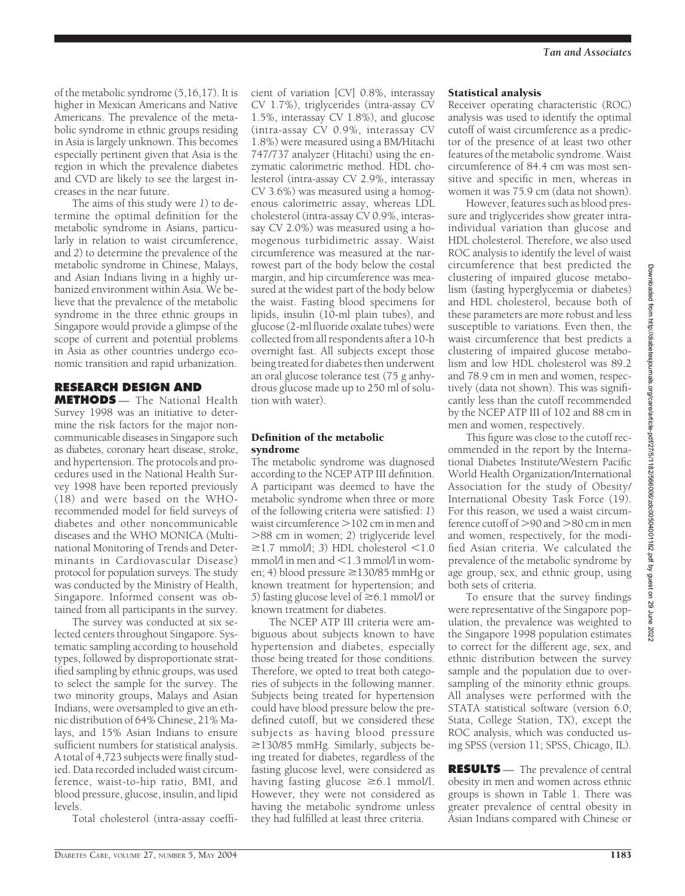of the metabolic syndrome (5,16,17). It is higher in Mexican Americans and Native Americans. The prevalence of the metabolic syndrome in ethnic groups residing in Asia is largely unknown. This becomes especially pertinent given that Asia is the region in which the prevalence diabetes and CVD are likely to see the largest increases in the near future.

The aims of this study were *1*) to determine the optimal definition for the metabolic syndrome in Asians, particularly in relation to waist circumference, and *2*) to determine the prevalence of the metabolic syndrome in Chinese, Malays, and Asian Indians living in a highly urbanized environment within Asia. We believe that the prevalence of the metabolic syndrome in the three ethnic groups in Singapore would provide a glimpse of the scope of current and potential problems in Asia as other countries undergo economic transition and rapid urbanization.

## **RESEARCH DESIGN AND**

**METHODS** — The National Health Survey 1998 was an initiative to determine the risk factors for the major noncommunicable diseases in Singapore such as diabetes, coronary heart disease, stroke, and hypertension. The protocols and procedures used in the National Health Survey 1998 have been reported previously (18) and were based on the WHOrecommended model for field surveys of diabetes and other noncommunicable diseases and the WHO MONICA (Multinational Monitoring of Trends and Determinants in Cardiovascular Disease) protocol for population surveys. The study was conducted by the Ministry of Health, Singapore. Informed consent was obtained from all participants in the survey.

The survey was conducted at six selected centers throughout Singapore. Systematic sampling according to household types, followed by disproportionate stratified sampling by ethnic groups, was used to select the sample for the survey. The two minority groups, Malays and Asian Indians, were oversampled to give an ethnic distribution of 64% Chinese, 21% Malays, and 15% Asian Indians to ensure sufficient numbers for statistical analysis. A total of 4,723 subjects were finally studied. Data recorded included waist circumference, waist-to-hip ratio, BMI, and blood pressure, glucose, insulin, and lipid levels.

Total cholesterol (intra-assay coeffi-

cient of variation [CV] 0.8%, interassay CV 1.7%), triglycerides (intra-assay CV 1.5%, interassay CV 1.8%), and glucose (intra-assay CV 0.9%, interassay CV 1.8%) were measured using a BM/Hitachi 747/737 analyzer (Hitachi) using the enzymatic calorimetric method. HDL cholesterol (intra-assay CV 2.9%, interassay CV 3.6%) was measured using a homogenous calorimetric assay, whereas LDL cholesterol (intra-assay CV 0.9%, interassay CV 2.0%) was measured using a homogenous turbidimetric assay. Waist circumference was measured at the narrowest part of the body below the costal margin, and hip circumference was measured at the widest part of the body below the waist. Fasting blood specimens for lipids, insulin (10-ml plain tubes), and glucose (2-ml fluoride oxalate tubes) were collected from all respondents after a 10-h overnight fast. All subjects except those being treated for diabetes then underwent an oral glucose tolerance test (75 g anhydrous glucose made up to 250 ml of solution with water).

#### Definition of the metabolic syndrome

The metabolic syndrome was diagnosed according to the NCEP ATP III definition. A participant was deemed to have the metabolic syndrome when three or more of the following criteria were satisfied: *1*) waist circumference  $>$  102 cm in men and 88 cm in women; *2*) triglyceride level  $\geq$ 1.7 mmol/l; 3) HDL cholesterol  $\leq$ 1.0 mmol/l in men and  $\leq$  1.3 mmol/l in women; 4) blood pressure  $\geq$ 130/85 mmHg or known treatment for hypertension; and *5*) fasting glucose level of  $\geq 6.1$  mmol/l or known treatment for diabetes.

The NCEP ATP III criteria were ambiguous about subjects known to have hypertension and diabetes, especially those being treated for those conditions. Therefore, we opted to treat both categories of subjects in the following manner. Subjects being treated for hypertension could have blood pressure below the predefined cutoff, but we considered these subjects as having blood pressure  $\geq$ 130/85 mmHg. Similarly, subjects being treated for diabetes, regardless of the fasting glucose level, were considered as having fasting glucose  $\geq 6.1$  mmol/l. However, they were not considered as having the metabolic syndrome unless they had fulfilled at least three criteria.

### *Tan and Associates*

#### Statistical analysis

Receiver operating characteristic (ROC) analysis was used to identify the optimal cutoff of waist circumference as a predictor of the presence of at least two other features of the metabolic syndrome. Waist circumference of 84.4 cm was most sensitive and specific in men, whereas in women it was 75.9 cm (data not shown).

However, features such as blood pressure and triglycerides show greater intraindividual variation than glucose and HDL cholesterol. Therefore, we also used ROC analysis to identify the level of waist circumference that best predicted the clustering of impaired glucose metabolism (fasting hyperglycemia or diabetes) and HDL cholesterol, because both of these parameters are more robust and less susceptible to variations. Even then, the waist circumference that best predicts a clustering of impaired glucose metabolism and low HDL cholesterol was 89.2 and 78.9 cm in men and women, respectively (data not shown). This was significantly less than the cutoff recommended by the NCEP ATP III of 102 and 88 cm in men and women, respectively.

This figure was close to the cutoff recommended in the report by the International Diabetes Institute/Western Pacific World Health Organization/International Association for the study of Obesity/ International Obesity Task Force (19). For this reason, we used a waist circumference cutoff of  $>90$  and  $>80$  cm in men and women, respectively, for the modified Asian criteria. We calculated the prevalence of the metabolic syndrome by age group, sex, and ethnic group, using both sets of criteria.

To ensure that the survey findings were representative of the Singapore population, the prevalence was weighted to the Singapore 1998 population estimates to correct for the different age, sex, and ethnic distribution between the survey sample and the population due to oversampling of the minority ethnic groups. All analyses were performed with the STATA statistical software (version 6.0; Stata, College Station, TX), except the ROC analysis, which was conducted using SPSS (version 11; SPSS, Chicago, IL).

**RESULTS** — The prevalence of central obesity in men and women across ethnic groups is shown in Table 1. There was greater prevalence of central obesity in Asian Indians compared with Chinese or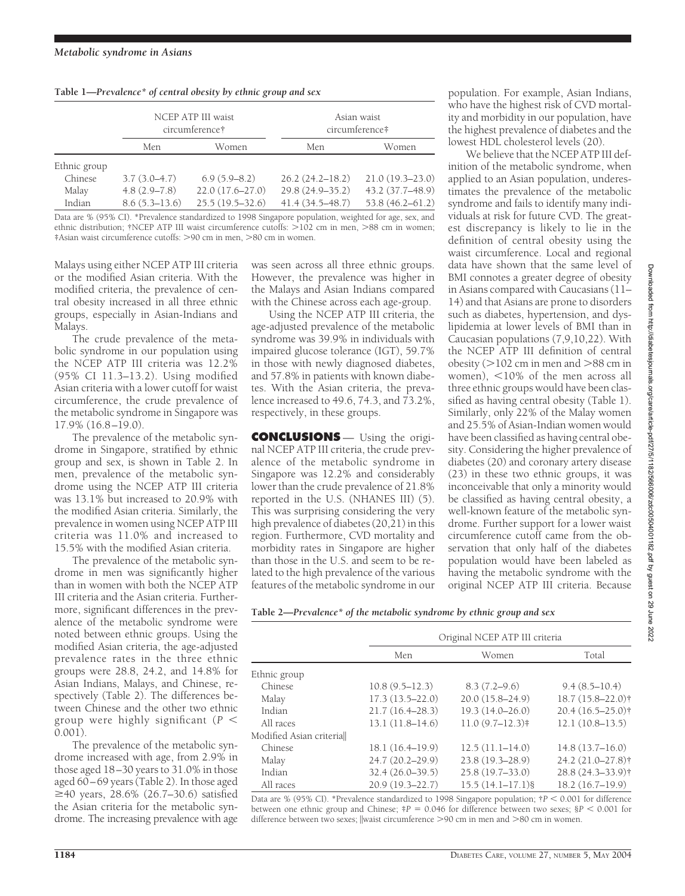| Table 1-Prevalence* of central obesity by ethnic group and sex |  |  |  |  |
|----------------------------------------------------------------|--|--|--|--|

|              |                   | NCEP ATP III waist<br>circumference† | Asian waist<br>circumference# |                     |  |
|--------------|-------------------|--------------------------------------|-------------------------------|---------------------|--|
|              | Men               | Women                                | Men                           | Women               |  |
| Ethnic group |                   |                                      |                               |                     |  |
| Chinese      | $3.7(3.0-4.7)$    | $6.9(5.9 - 8.2)$                     | $26.2(24.2 - 18.2)$           | $21.0(19.3 - 23.0)$ |  |
| Malay        | $4.8(2.9 - 7.8)$  | $22.0(17.6 - 27.0)$                  | 29.8 (24.9-35.2)              | 43.2 (37.7-48.9)    |  |
| Indian       | $8.6(5.3 - 13.6)$ | $25.5(19.5 - 32.6)$                  | $41.4(34.5 - 48.7)$           | $53.8(46.2 - 61.2)$ |  |

Data are % (95% CI). \*Prevalence standardized to 1998 Singapore population, weighted for age, sex, and ethnic distribution; †NCEP ATP III waist circumference cutoffs:  $>102$  cm in men,  $>88$  cm in women; ‡Asian waist circumference cutoffs: 90 cm in men, 80 cm in women.

Malays using either NCEP ATP III criteria or the modified Asian criteria. With the modified criteria, the prevalence of central obesity increased in all three ethnic groups, especially in Asian-Indians and Malays.

The crude prevalence of the metabolic syndrome in our population using the NCEP ATP III criteria was 12.2% (95% CI 11.3–13.2). Using modified Asian criteria with a lower cutoff for waist circumference, the crude prevalence of the metabolic syndrome in Singapore was 17.9% (16.8–19.0).

The prevalence of the metabolic syndrome in Singapore, stratified by ethnic group and sex, is shown in Table 2. In men, prevalence of the metabolic syndrome using the NCEP ATP III criteria was 13.1% but increased to 20.9% with the modified Asian criteria. Similarly, the prevalence in women using NCEP ATP III criteria was 11.0% and increased to 15.5% with the modified Asian criteria.

The prevalence of the metabolic syndrome in men was significantly higher than in women with both the NCEP ATP III criteria and the Asian criteria. Furthermore, significant differences in the prevalence of the metabolic syndrome were noted between ethnic groups. Using the modified Asian criteria, the age-adjusted prevalence rates in the three ethnic groups were 28.8, 24.2, and 14.8% for Asian Indians, Malays, and Chinese, respectively (Table 2). The differences between Chinese and the other two ethnic group were highly significant  $(P <$ 0.001).

The prevalence of the metabolic syndrome increased with age, from 2.9% in those aged 18–30 years to 31.0% in those aged 60–69 years (Table 2). In those aged  $≥40$  years, 28.6% (26.7–30.6) satisfied the Asian criteria for the metabolic syndrome. The increasing prevalence with age was seen across all three ethnic groups. However, the prevalence was higher in the Malays and Asian Indians compared with the Chinese across each age-group.

Using the NCEP ATP III criteria, the age-adjusted prevalence of the metabolic syndrome was 39.9% in individuals with impaired glucose tolerance (IGT), 59.7% in those with newly diagnosed diabetes, and 57.8% in patients with known diabetes. With the Asian criteria, the prevalence increased to 49.6, 74.3, and 73.2%, respectively, in these groups.

**CONCLUSIONS** — Using the original NCEP ATP III criteria, the crude prevalence of the metabolic syndrome in Singapore was 12.2% and considerably lower than the crude prevalence of 21.8% reported in the U.S. (NHANES III) (5). This was surprising considering the very high prevalence of diabetes (20,21) in this region. Furthermore, CVD mortality and morbidity rates in Singapore are higher than those in the U.S. and seem to be related to the high prevalence of the various features of the metabolic syndrome in our

population. For example, Asian Indians, who have the highest risk of CVD mortality and morbidity in our population, have the highest prevalence of diabetes and the lowest HDL cholesterol levels (20).

We believe that the NCEP ATP III definition of the metabolic syndrome, when applied to an Asian population, underestimates the prevalence of the metabolic syndrome and fails to identify many individuals at risk for future CVD. The greatest discrepancy is likely to lie in the definition of central obesity using the waist circumference. Local and regional data have shown that the same level of BMI connotes a greater degree of obesity in Asians compared with Caucasians (11– 14) and that Asians are prone to disorders such as diabetes, hypertension, and dyslipidemia at lower levels of BMI than in Caucasian populations (7,9,10,22). With the NCEP ATP III definition of central obesity ( $>$ 102 cm in men and  $>$ 88 cm in women),  $\leq$ 10% of the men across all three ethnic groups would have been classified as having central obesity (Table 1). Similarly, only 22% of the Malay women and 25.5% of Asian-Indian women would have been classified as having central obesity. Considering the higher prevalence of diabetes (20) and coronary artery disease (23) in these two ethnic groups, it was inconceivable that only a minority would be classified as having central obesity, a well-known feature of the metabolic syndrome. Further support for a lower waist circumference cutoff came from the observation that only half of the diabetes population would have been labeled as having the metabolic syndrome with the original NCEP ATP III criteria. Because

**Table 2—***Prevalence\* of the metabolic syndrome by ethnic group and sex*

|                         | Original NCEP ATP III criteria |                     |                               |  |
|-------------------------|--------------------------------|---------------------|-------------------------------|--|
|                         | Men                            | Women               | Total                         |  |
| Ethnic group            |                                |                     |                               |  |
| Chinese                 | $10.8(9.5 - 12.3)$             | $8.3(7.2 - 9.6)$    | $9.4(8.5-10.4)$               |  |
| Malay                   | $17.3(13.5 - 22.0)$            | $20.0(15.8 - 24.9)$ | 18.7 (15.8-22.0) <sup>†</sup> |  |
| Indian                  | $21.7(16.4 - 28.3)$            | $19.3(14.0 - 26.0)$ | $20.4(16.5-25.0)$ †           |  |
| All races               | $13.1(11.8-14.6)$              | 11.0(9.7–12.3)      | $12.1(10.8-13.5)$             |  |
| Modified Asian criteria |                                |                     |                               |  |
| Chinese                 | 18.1(16.4–19.9)                | $12.5(11.1-14.0)$   | 14.8(13.7–16.0)               |  |
| Malay                   | $24.7(20.2 - 29.9)$            | $23.8(19.3 - 28.9)$ | 24.2 (21.0-27.8)†             |  |
| Indian                  | $32.4(26.0-39.5)$              | $25.8(19.7-33.0)$   | 28.8 (24.3-33.9)†             |  |
| All races               | 20.9 (19.3-22.7)               | $15.5(14.1-17.1)$ § | $18.2(16.7-19.9)$             |  |

Data are % (95% CI). \*Prevalence standardized to 1998 Singapore population;  $\uparrow P < 0.001$  for difference between one ethnic group and Chinese;  $\ddagger P = 0.046$  for difference between two sexes;  $\S P \leq 0.001$  for difference between two sexes; ||waist circumference >90 cm in men and >80 cm in women.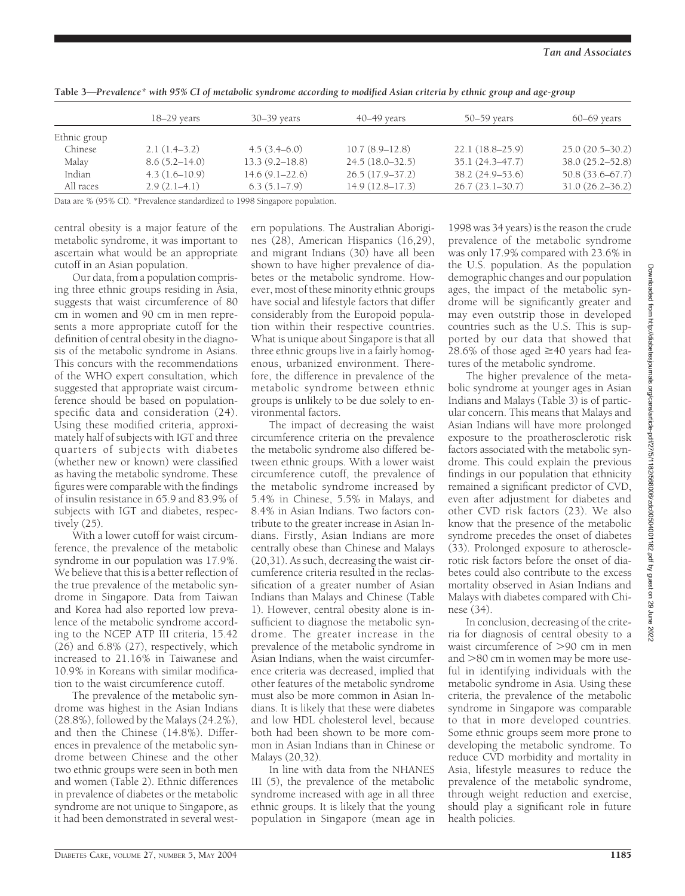|              | $18-29$ years     | $30 - 39$ years    | $40 - 49$ years     | 50–59 years         | $60 - 69$ years     |
|--------------|-------------------|--------------------|---------------------|---------------------|---------------------|
| Ethnic group |                   |                    |                     |                     |                     |
| Chinese      | $2.1(1.4-3.2)$    | $4.5(3.4-6.0)$     | $10.7(8.9-12.8)$    | $22.1(18.8-25.9)$   | $25.0(20.5 - 30.2)$ |
| Malay        | $8.6(5.2 - 14.0)$ | $13.3(9.2 - 18.8)$ | $24.5(18.0-32.5)$   | $35.1(24.3 - 47.7)$ | 38.0 (25.2-52.8)    |
| Indian       | $4.3(1.6-10.9)$   | $14.6(9.1 - 22.6)$ | $26.5(17.9-37.2)$   | $38.2(24.9-53.6)$   | 50.8 (33.6-67.7)    |
| All races    | $2.9(2.1-4.1)$    | 6.3(5.1–7.9)       | $14.9(12.8 - 17.3)$ | $26.7(23.1-30.7)$   | $31.0(26.2 - 36.2)$ |

**Table 3—***Prevalence\* with 95% CI of metabolic syndrome according to modified Asian criteria by ethnic group and age-group*

Data are % (95% CI). \*Prevalence standardized to 1998 Singapore population.

central obesity is a major feature of the metabolic syndrome, it was important to ascertain what would be an appropriate cutoff in an Asian population.

Our data, from a population comprising three ethnic groups residing in Asia, suggests that waist circumference of 80 cm in women and 90 cm in men represents a more appropriate cutoff for the definition of central obesity in the diagnosis of the metabolic syndrome in Asians. This concurs with the recommendations of the WHO expert consultation, which suggested that appropriate waist circumference should be based on populationspecific data and consideration (24). Using these modified criteria, approximately half of subjects with IGT and three quarters of subjects with diabetes (whether new or known) were classified as having the metabolic syndrome. These figures were comparable with the findings of insulin resistance in 65.9 and 83.9% of subjects with IGT and diabetes, respectively (25).

With a lower cutoff for waist circumference, the prevalence of the metabolic syndrome in our population was 17.9%. We believe that this is a better reflection of the true prevalence of the metabolic syndrome in Singapore. Data from Taiwan and Korea had also reported low prevalence of the metabolic syndrome according to the NCEP ATP III criteria, 15.42 (26) and 6.8% (27), respectively, which increased to 21.16% in Taiwanese and 10.9% in Koreans with similar modification to the waist circumference cutoff.

The prevalence of the metabolic syndrome was highest in the Asian Indians (28.8%), followed by the Malays (24.2%), and then the Chinese (14.8%). Differences in prevalence of the metabolic syndrome between Chinese and the other two ethnic groups were seen in both men and women (Table 2). Ethnic differences in prevalence of diabetes or the metabolic syndrome are not unique to Singapore, as it had been demonstrated in several west-

ern populations. The Australian Aborigines (28), American Hispanics (16,29), and migrant Indians  $(30)$  have all been shown to have higher prevalence of diabetes or the metabolic syndrome. However, most of these minority ethnic groups have social and lifestyle factors that differ considerably from the Europoid population within their respective countries. What is unique about Singapore is that all three ethnic groups live in a fairly homogenous, urbanized environment. Therefore, the difference in prevalence of the metabolic syndrome between ethnic groups is unlikely to be due solely to environmental factors.

The impact of decreasing the waist circumference criteria on the prevalence the metabolic syndrome also differed between ethnic groups. With a lower waist circumference cutoff, the prevalence of the metabolic syndrome increased by 5.4% in Chinese, 5.5% in Malays, and 8.4% in Asian Indians. Two factors contribute to the greater increase in Asian Indians. Firstly, Asian Indians are more centrally obese than Chinese and Malays (20,31). As such, decreasing the waist circumference criteria resulted in the reclassification of a greater number of Asian Indians than Malays and Chinese (Table 1). However, central obesity alone is insufficient to diagnose the metabolic syndrome. The greater increase in the prevalence of the metabolic syndrome in Asian Indians, when the waist circumference criteria was decreased, implied that other features of the metabolic syndrome must also be more common in Asian Indians. It is likely that these were diabetes and low HDL cholesterol level, because both had been shown to be more common in Asian Indians than in Chinese or Malays (20,32).

In line with data from the NHANES III (5), the prevalence of the metabolic syndrome increased with age in all three ethnic groups. It is likely that the young population in Singapore (mean age in

1998 was 34 years) is the reason the crude prevalence of the metabolic syndrome was only 17.9% compared with 23.6% in the U.S. population. As the population demographic changes and our population ages, the impact of the metabolic syndrome will be significantly greater and may even outstrip those in developed countries such as the U.S. This is supported by our data that showed that 28.6% of those aged  $\geq$ 40 years had features of the metabolic syndrome.

The higher prevalence of the metabolic syndrome at younger ages in Asian Indians and Malays (Table 3) is of particular concern. This means that Malays and Asian Indians will have more prolonged exposure to the proatherosclerotic risk factors associated with the metabolic syndrome. This could explain the previous findings in our population that ethnicity remained a significant predictor of CVD, even after adjustment for diabetes and other CVD risk factors (23). We also know that the presence of the metabolic syndrome precedes the onset of diabetes (33). Prolonged exposure to atherosclerotic risk factors before the onset of diabetes could also contribute to the excess mortality observed in Asian Indians and Malays with diabetes compared with Chinese (34).

In conclusion, decreasing of the criteria for diagnosis of central obesity to a waist circumference of  $>90$  cm in men and  $>80$  cm in women may be more useful in identifying individuals with the metabolic syndrome in Asia. Using these criteria, the prevalence of the metabolic syndrome in Singapore was comparable to that in more developed countries. Some ethnic groups seem more prone to developing the metabolic syndrome. To reduce CVD morbidity and mortality in Asia, lifestyle measures to reduce the prevalence of the metabolic syndrome, through weight reduction and exercise, should play a significant role in future health policies.